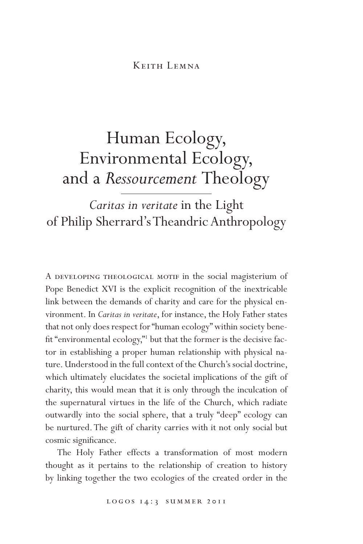# Human Ecology, Environmental Ecology, and a *Ressourcement* Theology

## *Caritas in veritate* in the Light of Philip Sherrard's Theandric Anthropology

A developing theological motif in the social magisterium of Pope Benedict XVI is the explicit recognition of the inextricable link between the demands of charity and care for the physical environment. In *Caritas in veritate*, for instance, the Holy Father states that not only does respect for "human ecology" within society benefit "environmental ecology,"<sup>1</sup> but that the former is the decisive factor in establishing a proper human relationship with physical nature. Understood in the full context of the Church's social doctrine, which ultimately elucidates the societal implications of the gift of charity, this would mean that it is only through the inculcation of the supernatural virtues in the life of the Church, which radiate outwardly into the social sphere, that a truly "deep" ecology can be nurtured. The gift of charity carries with it not only social but cosmic significance.

The Holy Father effects a transformation of most modern thought as it pertains to the relationship of creation to history by linking together the two ecologies of the created order in the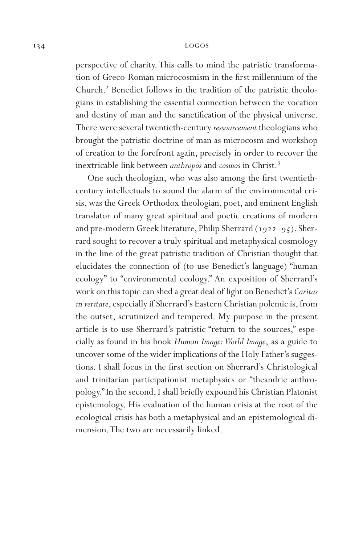perspective of charity. This calls to mind the patristic transformation of Greco-Roman microcosmism in the first millennium of the Church.<sup>2</sup> Benedict follows in the tradition of the patristic theologians in establishing the essential connection between the vocation and destiny of man and the sanctification of the physical universe. There were several twentieth-century *ressourcement* theologians who brought the patristic doctrine of man as microcosm and workshop of creation to the forefront again, precisely in order to recover the inextricable link between *anthropos* and *cosmos* in Christ.3

One such theologian, who was also among the first twentiethcentury intellectuals to sound the alarm of the environmental crisis, was the Greek Orthodox theologian, poet, and eminent English translator of many great spiritual and poetic creations of modern and pre-modern Greek literature, Philip Sherrard (1922–95). Sherrard sought to recover a truly spiritual and metaphysical cosmology in the line of the great patristic tradition of Christian thought that elucidates the connection of (to use Benedict's language) "human ecology" to "environmental ecology." An exposition of Sherrard's work on this topic can shed a great deal of light on Benedict's *Caritas in veritate*, especially if Sherrard's Eastern Christian polemic is, from the outset, scrutinized and tempered. My purpose in the present article is to use Sherrard's patristic "return to the sources," especially as found in his book *Human Image: World Image*, as a guide to uncover some of the wider implications of the Holy Father's suggestions. I shall focus in the first section on Sherrard's Christological and trinitarian participationist metaphysics or "theandric anthropology." In the second, I shall briefly expound his Christian Platonist epistemology. His evaluation of the human crisis at the root of the ecological crisis has both a metaphysical and an epistemological dimension. The two are necessarily linked.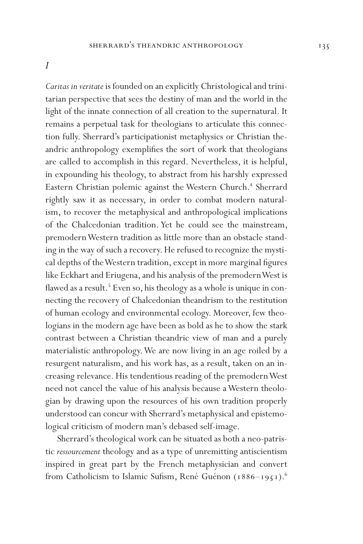*I*

*Caritas in veritate* is founded on an explicitly Christological and trinitarian perspective that sees the destiny of man and the world in the light of the innate connection of all creation to the supernatural. It remains a perpetual task for theologians to articulate this connection fully. Sherrard's participationist metaphysics or Christian theandric anthropology exemplifies the sort of work that theologians are called to accomplish in this regard. Nevertheless, it is helpful, in expounding his theology, to abstract from his harshly expressed Eastern Christian polemic against the Western Church.<sup>4</sup> Sherrard rightly saw it as necessary, in order to combat modern naturalism, to recover the metaphysical and anthropological implications of the Chalcedonian tradition. Yet he could see the mainstream, premodern Western tradition as little more than an obstacle standing in the way of such a recovery. He refused to recognize the mystical depths of the Western tradition, except in more marginal figures like Eckhart and Eriugena, and his analysis of the premodern West is flawed as a result.<sup>5</sup> Even so, his theology as a whole is unique in connecting the recovery of Chalcedonian theandrism to the restitution of human ecology and environmental ecology. Moreover, few theologians in the modern age have been as bold as he to show the stark contrast between a Christian theandric view of man and a purely materialistic anthropology. We are now living in an age roiled by a resurgent naturalism, and his work has, as a result, taken on an increasing relevance. His tendentious reading of the premodern West need not cancel the value of his analysis because a Western theologian by drawing upon the resources of his own tradition properly understood can concur with Sherrard's metaphysical and epistemological criticism of modern man's debased self-image.

Sherrard's theological work can be situated as both a neo-patristic *ressourcement* theology and as a type of unremitting antiscientism inspired in great part by the French metaphysician and convert from Catholicism to Islamic Sufism, René Guénon (1886–1951).<sup>6</sup>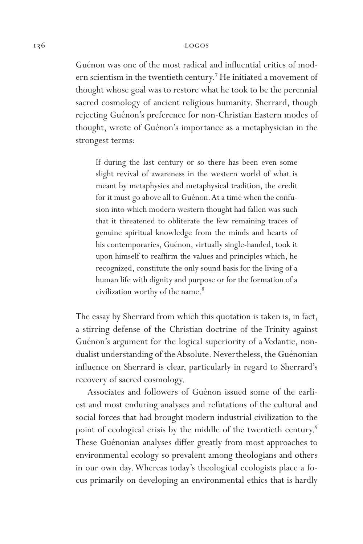Guénon was one of the most radical and influential critics of modern scientism in the twentieth century.<sup>7</sup> He initiated a movement of thought whose goal was to restore what he took to be the perennial sacred cosmology of ancient religious humanity. Sherrard, though rejecting Guénon's preference for non-Christian Eastern modes of thought, wrote of Guénon's importance as a metaphysician in the strongest terms:

If during the last century or so there has been even some slight revival of awareness in the western world of what is meant by metaphysics and metaphysical tradition, the credit for it must go above all to Guénon. At a time when the confusion into which modern western thought had fallen was such that it threatened to obliterate the few remaining traces of genuine spiritual knowledge from the minds and hearts of his contemporaries, Guénon, virtually single-handed, took it upon himself to reaffirm the values and principles which, he recognized, constitute the only sound basis for the living of a human life with dignity and purpose or for the formation of a civilization worthy of the name.<sup>8</sup>

The essay by Sherrard from which this quotation is taken is, in fact, a stirring defense of the Christian doctrine of the Trinity against Guénon's argument for the logical superiority of a Vedantic, nondualist understanding of the Absolute. Nevertheless, the Guénonian influence on Sherrard is clear, particularly in regard to Sherrard's recovery of sacred cosmology.

Associates and followers of Guénon issued some of the earliest and most enduring analyses and refutations of the cultural and social forces that had brought modern industrial civilization to the point of ecological crisis by the middle of the twentieth century.<sup>9</sup> These Guénonian analyses differ greatly from most approaches to environmental ecology so prevalent among theologians and others in our own day. Whereas today's theological ecologists place a focus primarily on developing an environmental ethics that is hardly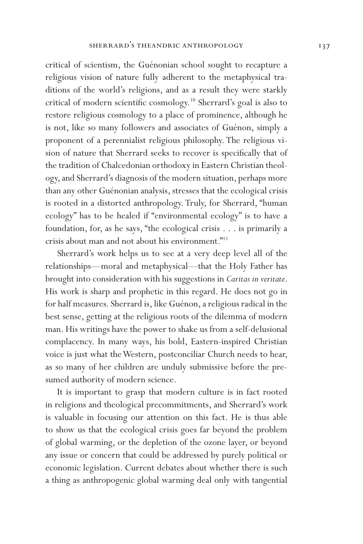critical of scientism, the Guénonian school sought to recapture a religious vision of nature fully adherent to the metaphysical traditions of the world's religions, and as a result they were starkly critical of modern scientific cosmology.10 Sherrard's goal is also to restore religious cosmology to a place of prominence, although he is not, like so many followers and associates of Guénon, simply a proponent of a perennialist religious philosophy. The religious vision of nature that Sherrard seeks to recover is specifically that of the tradition of Chalcedonian orthodoxy in Eastern Christian theology, and Sherrard's diagnosis of the modern situation, perhaps more than any other Guénonian analysis, stresses that the ecological crisis is rooted in a distorted anthropology. Truly, for Sherrard, "human ecology" has to be healed if "environmental ecology" is to have a foundation, for, as he says, "the ecological crisis . . . is primarily a crisis about man and not about his environment."11

Sherrard's work helps us to see at a very deep level all of the relationships—moral and metaphysical—that the Holy Father has brought into consideration with his suggestions in *Caritas in veritate*. His work is sharp and prophetic in this regard. He does not go in for half measures. Sherrard is, like Guénon, a religious radical in the best sense, getting at the religious roots of the dilemma of modern man. His writings have the power to shake us from a self-delusional complacency. In many ways, his bold, Eastern-inspired Christian voice is just what the Western, postconciliar Church needs to hear, as so many of her children are unduly submissive before the presumed authority of modern science.

It is important to grasp that modern culture is in fact rooted in religions and theological precommitments, and Sherrard's work is valuable in focusing our attention on this fact. He is thus able to show us that the ecological crisis goes far beyond the problem of global warming, or the depletion of the ozone layer, or beyond any issue or concern that could be addressed by purely political or economic legislation. Current debates about whether there is such a thing as anthropogenic global warming deal only with tangential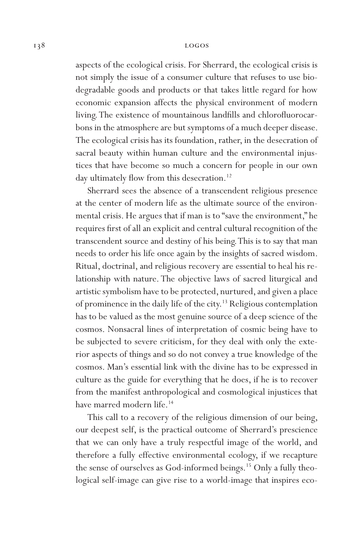aspects of the ecological crisis. For Sherrard, the ecological crisis is not simply the issue of a consumer culture that refuses to use biodegradable goods and products or that takes little regard for how economic expansion affects the physical environment of modern living. The existence of mountainous landfills and chlorofluorocarbons in the atmosphere are but symptoms of a much deeper disease. The ecological crisis has its foundation, rather, in the desecration of sacral beauty within human culture and the environmental injustices that have become so much a concern for people in our own day ultimately flow from this desecration.<sup>12</sup>

Sherrard sees the absence of a transcendent religious presence at the center of modern life as the ultimate source of the environmental crisis. He argues that if man is to "save the environment," he requires first of all an explicit and central cultural recognition of the transcendent source and destiny of his being. This is to say that man needs to order his life once again by the insights of sacred wisdom. Ritual, doctrinal, and religious recovery are essential to heal his relationship with nature. The objective laws of sacred liturgical and artistic symbolism have to be protected, nurtured, and given a place of prominence in the daily life of the city.13 Religious contemplation has to be valued as the most genuine source of a deep science of the cosmos. Nonsacral lines of interpretation of cosmic being have to be subjected to severe criticism, for they deal with only the exterior aspects of things and so do not convey a true knowledge of the cosmos. Man's essential link with the divine has to be expressed in culture as the guide for everything that he does, if he is to recover from the manifest anthropological and cosmological injustices that have marred modern life.<sup>14</sup>

This call to a recovery of the religious dimension of our being, our deepest self, is the practical outcome of Sherrard's prescience that we can only have a truly respectful image of the world, and therefore a fully effective environmental ecology, if we recapture the sense of ourselves as God-informed beings.<sup>15</sup> Only a fully theological self-image can give rise to a world-image that inspires eco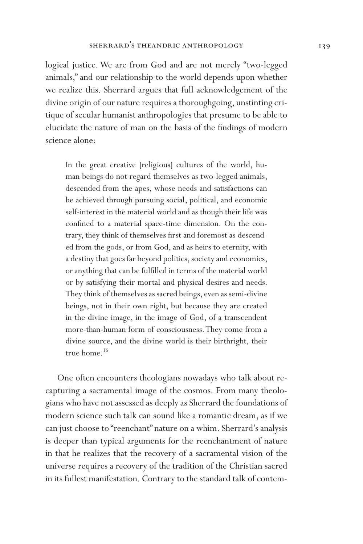logical justice. We are from God and are not merely "two-legged animals," and our relationship to the world depends upon whether we realize this. Sherrard argues that full acknowledgement of the divine origin of our nature requires a thoroughgoing, unstinting critique of secular humanist anthropologies that presume to be able to elucidate the nature of man on the basis of the findings of modern science alone:

In the great creative [religious] cultures of the world, human beings do not regard themselves as two-legged animals, descended from the apes, whose needs and satisfactions can be achieved through pursuing social, political, and economic self-interest in the material world and as though their life was confined to a material space-time dimension. On the contrary, they think of themselves first and foremost as descended from the gods, or from God, and as heirs to eternity, with a destiny that goes far beyond politics, society and economics, or anything that can be fulfilled in terms of the material world or by satisfying their mortal and physical desires and needs. They think of themselves as sacred beings, even as semi-divine beings, not in their own right, but because they are created in the divine image, in the image of God, of a transcendent more-than-human form of consciousness. They come from a divine source, and the divine world is their birthright, their true home.<sup>16</sup>

One often encounters theologians nowadays who talk about recapturing a sacramental image of the cosmos. From many theologians who have not assessed as deeply as Sherrard the foundations of modern science such talk can sound like a romantic dream, as if we can just choose to "reenchant" nature on a whim. Sherrard's analysis is deeper than typical arguments for the reenchantment of nature in that he realizes that the recovery of a sacramental vision of the universe requires a recovery of the tradition of the Christian sacred in its fullest manifestation. Contrary to the standard talk of contem-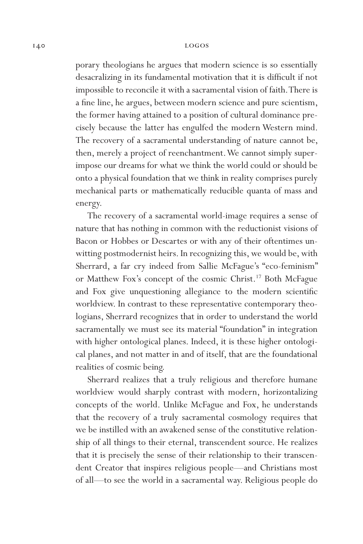### 140 LOGOS

porary theologians he argues that modern science is so essentially desacralizing in its fundamental motivation that it is difficult if not impossible to reconcile it with a sacramental vision of faith. There is a fine line, he argues, between modern science and pure scientism, the former having attained to a position of cultural dominance precisely because the latter has engulfed the modern Western mind. The recovery of a sacramental understanding of nature cannot be, then, merely a project of reenchantment. We cannot simply superimpose our dreams for what we think the world could or should be onto a physical foundation that we think in reality comprises purely mechanical parts or mathematically reducible quanta of mass and energy.

The recovery of a sacramental world-image requires a sense of nature that has nothing in common with the reductionist visions of Bacon or Hobbes or Descartes or with any of their oftentimes unwitting postmodernist heirs. In recognizing this, we would be, with Sherrard, a far cry indeed from Sallie McFague's "eco-feminism" or Matthew Fox's concept of the cosmic Christ.17 Both McFague and Fox give unquestioning allegiance to the modern scientific worldview. In contrast to these representative contemporary theologians, Sherrard recognizes that in order to understand the world sacramentally we must see its material "foundation" in integration with higher ontological planes. Indeed, it is these higher ontological planes, and not matter in and of itself, that are the foundational realities of cosmic being.

Sherrard realizes that a truly religious and therefore humane worldview would sharply contrast with modern, horizontalizing concepts of the world. Unlike McFague and Fox, he understands that the recovery of a truly sacramental cosmology requires that we be instilled with an awakened sense of the constitutive relationship of all things to their eternal, transcendent source. He realizes that it is precisely the sense of their relationship to their transcendent Creator that inspires religious people—and Christians most of all—to see the world in a sacramental way. Religious people do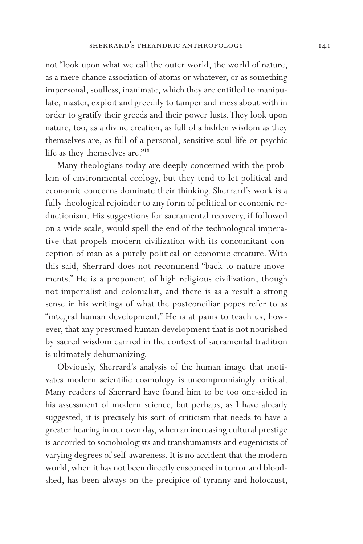not "look upon what we call the outer world, the world of nature, as a mere chance association of atoms or whatever, or as something impersonal, soulless, inanimate, which they are entitled to manipulate, master, exploit and greedily to tamper and mess about with in order to gratify their greeds and their power lusts. They look upon nature, too, as a divine creation, as full of a hidden wisdom as they themselves are, as full of a personal, sensitive soul-life or psychic life as they themselves are."<sup>18</sup>

Many theologians today are deeply concerned with the problem of environmental ecology, but they tend to let political and economic concerns dominate their thinking. Sherrard's work is a fully theological rejoinder to any form of political or economic reductionism. His suggestions for sacramental recovery, if followed on a wide scale, would spell the end of the technological imperative that propels modern civilization with its concomitant conception of man as a purely political or economic creature. With this said, Sherrard does not recommend "back to nature movements." He is a proponent of high religious civilization, though not imperialist and colonialist, and there is as a result a strong sense in his writings of what the postconciliar popes refer to as "integral human development." He is at pains to teach us, however, that any presumed human development that is not nourished by sacred wisdom carried in the context of sacramental tradition is ultimately dehumanizing.

Obviously, Sherrard's analysis of the human image that motivates modern scientific cosmology is uncompromisingly critical. Many readers of Sherrard have found him to be too one-sided in his assessment of modern science, but perhaps, as I have already suggested, it is precisely his sort of criticism that needs to have a greater hearing in our own day, when an increasing cultural prestige is accorded to sociobiologists and transhumanists and eugenicists of varying degrees of self-awareness. It is no accident that the modern world, when it has not been directly ensconced in terror and bloodshed, has been always on the precipice of tyranny and holocaust,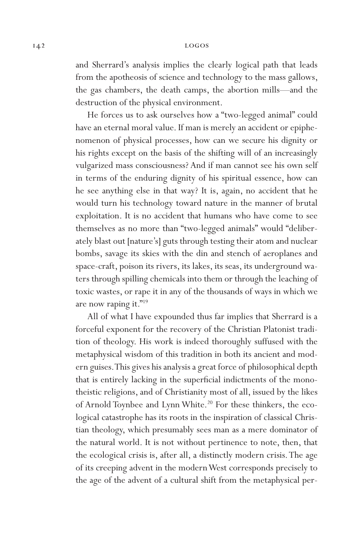and Sherrard's analysis implies the clearly logical path that leads from the apotheosis of science and technology to the mass gallows, the gas chambers, the death camps, the abortion mills—and the destruction of the physical environment.

He forces us to ask ourselves how a "two-legged animal" could have an eternal moral value. If man is merely an accident or epiphenomenon of physical processes, how can we secure his dignity or his rights except on the basis of the shifting will of an increasingly vulgarized mass consciousness? And if man cannot see his own self in terms of the enduring dignity of his spiritual essence, how can he see anything else in that way? It is, again, no accident that he would turn his technology toward nature in the manner of brutal exploitation. It is no accident that humans who have come to see themselves as no more than "two-legged animals" would "deliberately blast out [nature's] guts through testing their atom and nuclear bombs, savage its skies with the din and stench of aeroplanes and space-craft, poison its rivers, its lakes, its seas, its underground waters through spilling chemicals into them or through the leaching of toxic wastes, or rape it in any of the thousands of ways in which we are now raping it."<sup>19</sup>

All of what I have expounded thus far implies that Sherrard is a forceful exponent for the recovery of the Christian Platonist tradition of theology. His work is indeed thoroughly suffused with the metaphysical wisdom of this tradition in both its ancient and modern guises. This gives his analysis a great force of philosophical depth that is entirely lacking in the superficial indictments of the monotheistic religions, and of Christianity most of all, issued by the likes of Arnold Toynbee and Lynn White.<sup>20</sup> For these thinkers, the ecological catastrophe has its roots in the inspiration of classical Christian theology, which presumably sees man as a mere dominator of the natural world. It is not without pertinence to note, then, that the ecological crisis is, after all, a distinctly modern crisis. The age of its creeping advent in the modern West corresponds precisely to the age of the advent of a cultural shift from the metaphysical per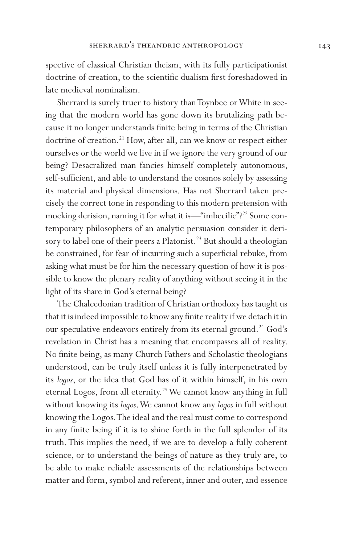spective of classical Christian theism, with its fully participationist doctrine of creation, to the scientific dualism first foreshadowed in late medieval nominalism.

Sherrard is surely truer to history than Toynbee or White in seeing that the modern world has gone down its brutalizing path because it no longer understands finite being in terms of the Christian doctrine of creation.<sup>21</sup> How, after all, can we know or respect either ourselves or the world we live in if we ignore the very ground of our being? Desacralized man fancies himself completely autonomous, self-sufficient, and able to understand the cosmos solely by assessing its material and physical dimensions. Has not Sherrard taken precisely the correct tone in responding to this modern pretension with mocking derision, naming it for what it is—"imbecilic"?22 Some contemporary philosophers of an analytic persuasion consider it derisory to label one of their peers a Platonist.<sup>23</sup> But should a theologian be constrained, for fear of incurring such a superficial rebuke, from asking what must be for him the necessary question of how it is possible to know the plenary reality of anything without seeing it in the light of its share in God's eternal being?

The Chalcedonian tradition of Christian orthodoxy has taught us that it is indeed impossible to know any finite reality if we detach it in our speculative endeavors entirely from its eternal ground.<sup>24</sup> God's revelation in Christ has a meaning that encompasses all of reality. No finite being, as many Church Fathers and Scholastic theologians understood, can be truly itself unless it is fully interpenetrated by its *logos*, or the idea that God has of it within himself, in his own eternal Logos, from all eternity.<sup>25</sup> We cannot know anything in full without knowing its *logos*. We cannot know any *logos* in full without knowing the Logos. The ideal and the real must come to correspond in any finite being if it is to shine forth in the full splendor of its truth. This implies the need, if we are to develop a fully coherent science, or to understand the beings of nature as they truly are, to be able to make reliable assessments of the relationships between matter and form, symbol and referent, inner and outer, and essence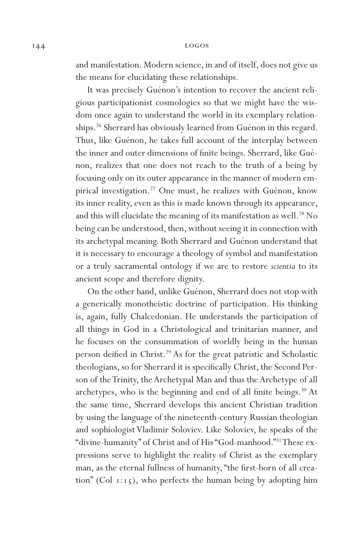### 144 LOGOS

and manifestation. Modern science, in and of itself, does not give us the means for elucidating these relationships.

It was precisely Guénon's intention to recover the ancient religious participationist cosmologies so that we might have the wisdom once again to understand the world in its exemplary relationships.<sup>26</sup> Sherrard has obviously learned from Guénon in this regard. Thus, like Guénon, he takes full account of the interplay between the inner and outer dimensions of finite beings. Sherrard, like Guénon, realizes that one does not reach to the truth of a being by focusing only on its outer appearance in the manner of modern empirical investigation.<sup>27</sup> One must, he realizes with Guénon, know its inner reality, even as this is made known through its appearance, and this will elucidate the meaning of its manifestation as well.<sup>28</sup> No being can be understood, then, without seeing it in connection with its archetypal meaning. Both Sherrard and Guénon understand that it is necessary to encourage a theology of symbol and manifestation or a truly sacramental ontology if we are to restore *scientia* to its ancient scope and therefore dignity.

On the other hand, unlike Guénon, Sherrard does not stop with a generically monotheistic doctrine of participation. His thinking is, again, fully Chalcedonian. He understands the participation of all things in God in a Christological and trinitarian manner, and he focuses on the consummation of worldly being in the human person deified in Christ.<sup>29</sup> As for the great patristic and Scholastic theologians, so for Sherrard it is specifically Christ, the Second Person of the Trinity, the Archetypal Man and thus the Archetype of all archetypes, who is the beginning and end of all finite beings.<sup>30</sup> At the same time, Sherrard develops this ancient Christian tradition by using the language of the nineteenth-century Russian theologian and sophiologist Vladimir Soloviev. Like Soloviev, he speaks of the "divine-humanity" of Christ and of His "God-manhood."31 These expressions serve to highlight the reality of Christ as the exemplary man, as the eternal fullness of humanity, "the first-born of all creation" (Col  $1:15$ ), who perfects the human being by adopting him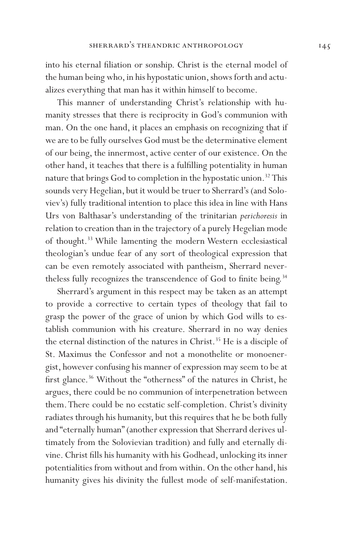into his eternal filiation or sonship. Christ is the eternal model of the human being who, in his hypostatic union, shows forth and actualizes everything that man has it within himself to become.

This manner of understanding Christ's relationship with humanity stresses that there is reciprocity in God's communion with man. On the one hand, it places an emphasis on recognizing that if we are to be fully ourselves God must be the determinative element of our being, the innermost, active center of our existence. On the other hand, it teaches that there is a fulfilling potentiality in human nature that brings God to completion in the hypostatic union.<sup>32</sup> This sounds very Hegelian, but it would be truer to Sherrard's (and Soloviev's) fully traditional intention to place this idea in line with Hans Urs von Balthasar's understanding of the trinitarian *perichoresis* in relation to creation than in the trajectory of a purely Hegelian mode of thought.<sup>33</sup> While lamenting the modern Western ecclesiastical theologian's undue fear of any sort of theological expression that can be even remotely associated with pantheism, Sherrard nevertheless fully recognizes the transcendence of God to finite being.<sup>34</sup>

Sherrard's argument in this respect may be taken as an attempt to provide a corrective to certain types of theology that fail to grasp the power of the grace of union by which God wills to establish communion with his creature. Sherrard in no way denies the eternal distinction of the natures in Christ.<sup>35</sup> He is a disciple of St. Maximus the Confessor and not a monothelite or monoenergist, however confusing his manner of expression may seem to be at first glance.<sup>36</sup> Without the "otherness" of the natures in Christ, he argues, there could be no communion of interpenetration between them. There could be no ecstatic self-completion. Christ's divinity radiates through his humanity, but this requires that he be both fully and "eternally human" (another expression that Sherrard derives ultimately from the Solovievian tradition) and fully and eternally divine. Christ fills his humanity with his Godhead, unlocking its inner potentialities from without and from within. On the other hand, his humanity gives his divinity the fullest mode of self-manifestation.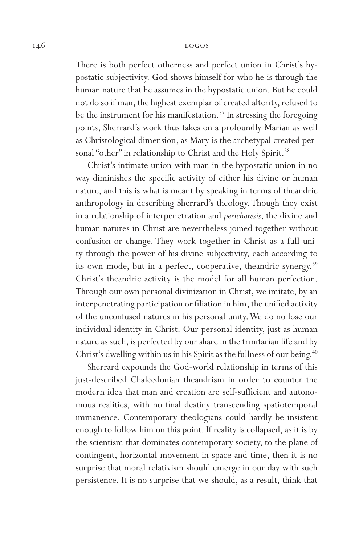### 146 LOGOS

There is both perfect otherness and perfect union in Christ's hypostatic subjectivity. God shows himself for who he is through the human nature that he assumes in the hypostatic union. But he could not do so if man, the highest exemplar of created alterity, refused to be the instrument for his manifestation.<sup>37</sup> In stressing the foregoing points, Sherrard's work thus takes on a profoundly Marian as well as Christological dimension, as Mary is the archetypal created personal "other" in relationship to Christ and the Holy Spirit.<sup>38</sup>

Christ's intimate union with man in the hypostatic union in no way diminishes the specific activity of either his divine or human nature, and this is what is meant by speaking in terms of theandric anthropology in describing Sherrard's theology. Though they exist in a relationship of interpenetration and *perichoresis*, the divine and human natures in Christ are nevertheless joined together without confusion or change. They work together in Christ as a full unity through the power of his divine subjectivity, each according to its own mode, but in a perfect, cooperative, theandric synergy.<sup>39</sup> Christ's theandric activity is the model for all human perfection. Through our own personal divinization in Christ, we imitate, by an interpenetrating participation or filiation in him, the unified activity of the unconfused natures in his personal unity. We do no lose our individual identity in Christ. Our personal identity, just as human nature as such, is perfected by our share in the trinitarian life and by Christ's dwelling within us in his Spirit as the fullness of our being.<sup>40</sup>

Sherrard expounds the God-world relationship in terms of this just-described Chalcedonian theandrism in order to counter the modern idea that man and creation are self-sufficient and autonomous realities, with no final destiny transcending spatiotemporal immanence. Contemporary theologians could hardly be insistent enough to follow him on this point. If reality is collapsed, as it is by the scientism that dominates contemporary society, to the plane of contingent, horizontal movement in space and time, then it is no surprise that moral relativism should emerge in our day with such persistence. It is no surprise that we should, as a result, think that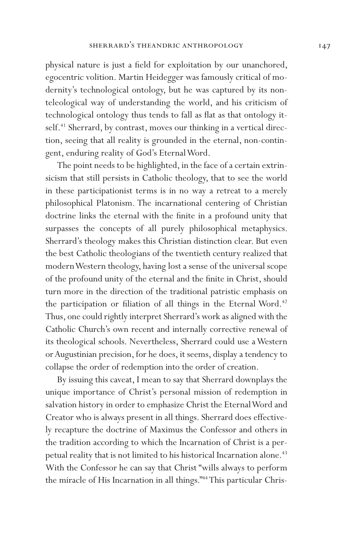physical nature is just a field for exploitation by our unanchored, egocentric volition. Martin Heidegger was famously critical of modernity's technological ontology, but he was captured by its nonteleological way of understanding the world, and his criticism of technological ontology thus tends to fall as flat as that ontology itself.<sup>41</sup> Sherrard, by contrast, moves our thinking in a vertical direction, seeing that all reality is grounded in the eternal, non-contingent, enduring reality of God's Eternal Word.

The point needs to be highlighted, in the face of a certain extrinsicism that still persists in Catholic theology, that to see the world in these participationist terms is in no way a retreat to a merely philosophical Platonism. The incarnational centering of Christian doctrine links the eternal with the finite in a profound unity that surpasses the concepts of all purely philosophical metaphysics. Sherrard's theology makes this Christian distinction clear. But even the best Catholic theologians of the twentieth century realized that modern Western theology, having lost a sense of the universal scope of the profound unity of the eternal and the finite in Christ, should turn more in the direction of the traditional patristic emphasis on the participation or filiation of all things in the Eternal Word.<sup>42</sup> Thus, one could rightly interpret Sherrard's work as aligned with the Catholic Church's own recent and internally corrective renewal of its theological schools. Nevertheless, Sherrard could use a Western or Augustinian precision, for he does, it seems, display a tendency to collapse the order of redemption into the order of creation.

By issuing this caveat, I mean to say that Sherrard downplays the unique importance of Christ's personal mission of redemption in salvation history in order to emphasize Christ the Eternal Word and Creator who is always present in all things. Sherrard does effectively recapture the doctrine of Maximus the Confessor and others in the tradition according to which the Incarnation of Christ is a perpetual reality that is not limited to his historical Incarnation alone.<sup>43</sup> With the Confessor he can say that Christ "wills always to perform the miracle of His Incarnation in all things."44 This particular Chris-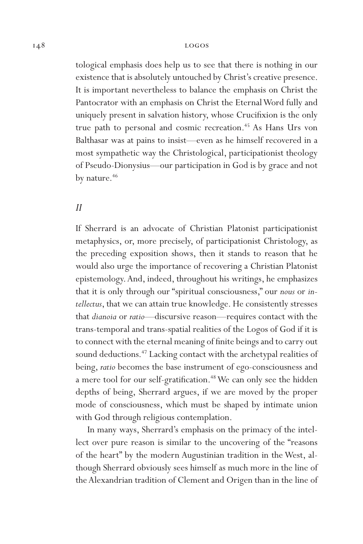tological emphasis does help us to see that there is nothing in our existence that is absolutely untouched by Christ's creative presence. It is important nevertheless to balance the emphasis on Christ the Pantocrator with an emphasis on Christ the Eternal Word fully and uniquely present in salvation history, whose Crucifixion is the only true path to personal and cosmic recreation.<sup>45</sup> As Hans Urs von Balthasar was at pains to insist—even as he himself recovered in a most sympathetic way the Christological, participationist theology of Pseudo-Dionysius—our participation in God is by grace and not by nature.<sup>46</sup>

#### *II*

If Sherrard is an advocate of Christian Platonist participationist metaphysics, or, more precisely, of participationist Christology, as the preceding exposition shows, then it stands to reason that he would also urge the importance of recovering a Christian Platonist epistemology. And, indeed, throughout his writings, he emphasizes that it is only through our "spiritual consciousness," our *nous* or *intellectus*, that we can attain true knowledge. He consistently stresses that *dianoia* or *ratio*—discursive reason—requires contact with the trans-temporal and trans-spatial realities of the Logos of God if it is to connect with the eternal meaning of finite beings and to carry out sound deductions.<sup>47</sup> Lacking contact with the archetypal realities of being, *ratio* becomes the base instrument of ego-consciousness and a mere tool for our self-gratification.<sup>48</sup> We can only see the hidden depths of being, Sherrard argues, if we are moved by the proper mode of consciousness, which must be shaped by intimate union with God through religious contemplation.

In many ways, Sherrard's emphasis on the primacy of the intellect over pure reason is similar to the uncovering of the "reasons of the heart" by the modern Augustinian tradition in the West, although Sherrard obviously sees himself as much more in the line of the Alexandrian tradition of Clement and Origen than in the line of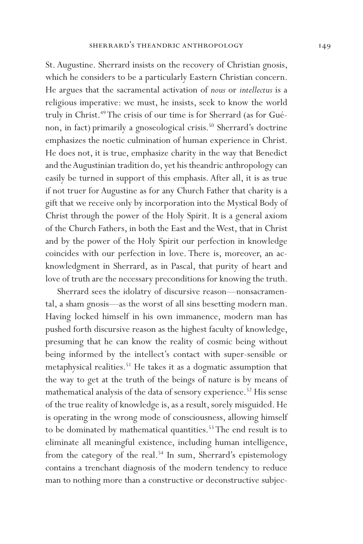St. Augustine. Sherrard insists on the recovery of Christian gnosis, which he considers to be a particularly Eastern Christian concern. He argues that the sacramental activation of *nous* or *intellectus* is a religious imperative: we must, he insists, seek to know the world truly in Christ.49 The crisis of our time is for Sherrard (as for Guénon, in fact) primarily a gnoseological crisis.<sup>50</sup> Sherrard's doctrine emphasizes the noetic culmination of human experience in Christ. He does not, it is true, emphasize charity in the way that Benedict and the Augustinian tradition do, yet his theandric anthropology can easily be turned in support of this emphasis. After all, it is as true if not truer for Augustine as for any Church Father that charity is a gift that we receive only by incorporation into the Mystical Body of Christ through the power of the Holy Spirit. It is a general axiom of the Church Fathers, in both the East and the West, that in Christ and by the power of the Holy Spirit our perfection in knowledge coincides with our perfection in love. There is, moreover, an acknowledgment in Sherrard, as in Pascal, that purity of heart and love of truth are the necessary preconditions for knowing the truth.

Sherrard sees the idolatry of discursive reason—nonsacramental, a sham gnosis—as the worst of all sins besetting modern man. Having locked himself in his own immanence, modern man has pushed forth discursive reason as the highest faculty of knowledge, presuming that he can know the reality of cosmic being without being informed by the intellect's contact with super-sensible or metaphysical realities.51 He takes it as a dogmatic assumption that the way to get at the truth of the beings of nature is by means of mathematical analysis of the data of sensory experience.<sup>52</sup> His sense of the true reality of knowledge is, as a result, sorely misguided. He is operating in the wrong mode of consciousness, allowing himself to be dominated by mathematical quantities.<sup>53</sup> The end result is to eliminate all meaningful existence, including human intelligence, from the category of the real.<sup>54</sup> In sum, Sherrard's epistemology contains a trenchant diagnosis of the modern tendency to reduce man to nothing more than a constructive or deconstructive subjec-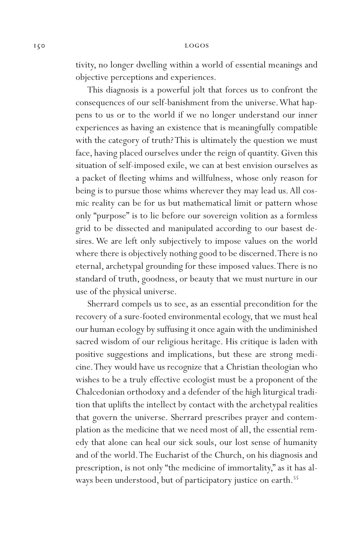tivity, no longer dwelling within a world of essential meanings and objective perceptions and experiences.

This diagnosis is a powerful jolt that forces us to confront the consequences of our self-banishment from the universe. What happens to us or to the world if we no longer understand our inner experiences as having an existence that is meaningfully compatible with the category of truth? This is ultimately the question we must face, having placed ourselves under the reign of quantity. Given this situation of self-imposed exile, we can at best envision ourselves as a packet of fleeting whims and willfulness, whose only reason for being is to pursue those whims wherever they may lead us. All cosmic reality can be for us but mathematical limit or pattern whose only "purpose" is to lie before our sovereign volition as a formless grid to be dissected and manipulated according to our basest desires. We are left only subjectively to impose values on the world where there is objectively nothing good to be discerned. There is no eternal, archetypal grounding for these imposed values. There is no standard of truth, goodness, or beauty that we must nurture in our use of the physical universe.

Sherrard compels us to see, as an essential precondition for the recovery of a sure-footed environmental ecology, that we must heal our human ecology by suffusing it once again with the undiminished sacred wisdom of our religious heritage. His critique is laden with positive suggestions and implications, but these are strong medicine. They would have us recognize that a Christian theologian who wishes to be a truly effective ecologist must be a proponent of the Chalcedonian orthodoxy and a defender of the high liturgical tradition that uplifts the intellect by contact with the archetypal realities that govern the universe. Sherrard prescribes prayer and contemplation as the medicine that we need most of all, the essential remedy that alone can heal our sick souls, our lost sense of humanity and of the world. The Eucharist of the Church, on his diagnosis and prescription, is not only "the medicine of immortality," as it has always been understood, but of participatory justice on earth.<sup>55</sup>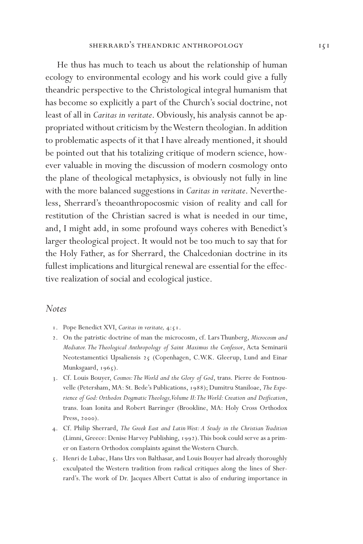He thus has much to teach us about the relationship of human ecology to environmental ecology and his work could give a fully theandric perspective to the Christological integral humanism that has become so explicitly a part of the Church's social doctrine, not least of all in *Caritas in veritate*. Obviously, his analysis cannot be appropriated without criticism by the Western theologian. In addition to problematic aspects of it that I have already mentioned, it should be pointed out that his totalizing critique of modern science, however valuable in moving the discussion of modern cosmology onto the plane of theological metaphysics, is obviously not fully in line with the more balanced suggestions in *Caritas in veritate*. Nevertheless, Sherrard's theoanthropocosmic vision of reality and call for restitution of the Christian sacred is what is needed in our time, and, I might add, in some profound ways coheres with Benedict's larger theological project. It would not be too much to say that for the Holy Father, as for Sherrard, the Chalcedonian doctrine in its fullest implications and liturgical renewal are essential for the effective realization of social and ecological justice.

#### *Notes*

- 1. Pope Benedict XVI, *Caritas in veritate,* 4:51.
- 2. On the patristic doctrine of man the microcosm, cf. Lars Thunberg, *Microcosm and Mediator. The Theological Anthropology of Saint Maximus the Confessor*, Acta Seminarii Neotestamentici Upsaliensis 25 (Copenhagen, C.W.K. Gleerup, Lund and Einar Munksgaard, 1965).
- 3. Cf. Louis Bouyer, *Cosmos: The World and the Glory of God*, trans. Pierre de Fontnouvelle (Petersham, MA: St. Bede's Publications, 1988); Dumitru Staniloae, *The Experience of God: Orthodox Dogmatic Theology, Volume II: The World: Creation and Deification*, trans. Ioan Ionita and Robert Barringer (Brookline, MA: Holy Cross Orthodox Press, 2000).
- 4. Cf. Philip Sherrard, *The Greek East and Latin West: A Study in the Christian Tradition*  (Limni, Greece: Denise Harvey Publishing, 1992). This book could serve as a primer on Eastern Orthodox complaints against the Western Church.
- 5. Henri de Lubac, Hans Urs von Balthasar, and Louis Bouyer had already thoroughly exculpated the Western tradition from radical critiques along the lines of Sherrard's. The work of Dr. Jacques Albert Cuttat is also of enduring importance in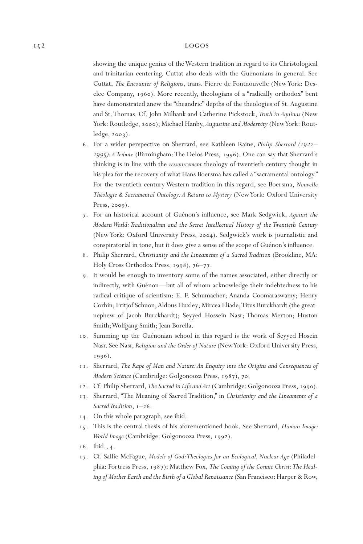showing the unique genius of the Western tradition in regard to its Christological and trinitarian centering. Cuttat also deals with the Guénonians in general. See Cuttat, *The Encounter of Religions*, trans. Pierre de Fontnouvelle (New York: Desclee Company, 1960). More recently, theologians of a "radically orthodox" bent have demonstrated anew the "theandric" depths of the theologies of St. Augustine and St. Thomas. Cf. John Milbank and Catherine Pickstock, *Truth in Aquinas* (New York: Routledge, 2000); Michael Hanby, *Augustine and Modernity* (New York: Routledge, 2003).

- 6. For a wider perspective on Sherrard, see Kathleen Raine, *Philip Sherrard (1922– 1995): A Tribute* (Birmingham: The Delos Press, 1996). One can say that Sherrard's thinking is in line with the *ressourcement* theology of twentieth-century thought in his plea for the recovery of what Hans Boersma has called a "sacramental ontology." For the twentieth-century Western tradition in this regard, see Boersma, *Nouvelle Théologie & Sacramental Ontology: A Return to Mystery* (New York: Oxford University Press, 2009).
- 7. For an historical account of Guénon's influence, see Mark Sedgwick, *Against the Modern World: Traditionalism and the Secret Intellectual History of the Twentieth Century* (New York: Oxford University Press, 2004). Sedgwick's work is journalistic and conspiratorial in tone, but it does give a sense of the scope of Guénon's influence.
- 8. Philip Sherrard, *Christianity and the Lineaments of a Sacred Tradition* (Brookline, MA: Holy Cross Orthodox Press, 1998), 76–77.
- 9. It would be enough to inventory some of the names associated, either directly or indirectly, with Guénon—but all of whom acknowledge their indebtedness to his radical critique of scientism: E. F. Schumacher; Ananda Coomaraswamy; Henry Corbin; Fritjof Schuon; Aldous Huxley; Mircea Eliade; Titus Burckhardt (the greatnephew of Jacob Burckhardt); Seyyed Hossein Nasr; Thomas Merton; Huston Smith; Wolfgang Smith; Jean Borella.
- 10. Summing up the Guénonian school in this regard is the work of Seyyed Hosein Nasr. See Nasr, *Religion and the Order of Nature* (New York: Oxford University Press, 1996).
- 11. Sherrard, *The Rape of Man and Nature: An Enquiry into the Origins and Consequences of Modern Science* (Cambridge: Golgonooza Press, 1987), 70.
- 12. Cf. Philip Sherrard, *The Sacred in Life and Art* (Cambridge: Golgonooza Press, 1990).
- 13. Sherrard, "The Meaning of Sacred Tradition," in *Christianity and the Lineaments of a Sacred Tradition*, 1–26.
- 14. On this whole paragraph, see ibid.
- 15. This is the central thesis of his aforementioned book. See Sherrard, *Human Image: World Image* (Cambridge: Golgonooza Press, 1992).
- 16. Ibid., 4.
- 17. Cf. Sallie McFague, *Models of God: Theologies for an Ecological, Nuclear Age* (Philadelphia: Fortress Press, 1987); Matthew Fox, *The Coming of the Cosmic Christ: The Healing of Mother Earth and the Birth of a Global Renaissance* (San Francisco: Harper & Row,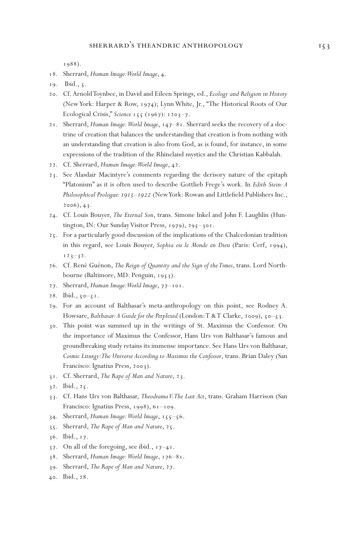1988).

- 18. Sherrard, *Human Image: World Image*, 4.
- 19. Ibid.,  $5.$
- 20. Cf. Arnold Toynbee, in David and Eileen Springs, ed., *Ecology and Religion in History*  (New York: Harper & Row, 1974); Lynn White, Jr., "The Historical Roots of Our Ecological Crisis," *Science* 155 (1967): 1203–7.
- 21. Sherrard, *Human Image: World Image*, 147–81. Sherrard seeks the recovery of a doctrine of creation that balances the understanding that creation is from nothing with an understanding that creation is also from God, as is found, for instance, in some expressions of the tradition of the Rhineland mystics and the Christian Kabbalah.
- 22. Cf. Sherrard, *Human Image: World Image*, 42.
- 23. See Alasdair Macintyre's comments regarding the derisory nature of the epitaph "Platonism" as it is often used to describe Gottlieb Frege's work. In *Edith Stein: A Philosophical Prologue: 1913–1922* (New York: Rowan and Littlefield Publishers Inc., 2006), 43.
- 24. Cf. Louis Bouyer, *The Eternal Son*, trans. Simone Inkel and John F. Laughlin (Huntington, IN: Our Sunday Visitor Press, 1979), 295-301.
- 25. For a particularly good discussion of the implications of the Chalcedonian tradition in this regard, see Louis Bouyer, *Sophia ou le Monde en Dieu* (Paris: Cerf, 1994),  $123 - 32.$
- 26. Cf. René Guénon, *The Reign of Quantity and the Sign of the Times*, trans. Lord Northbourne (Baltimore, MD: Penguin, 1953).
- 27. Sherrard, *Human Image: World Image*, 77–101.
- 28. Ibid.,  $50 51$ .
- 29. For an account of Balthasar's meta-anthropology on this point, see Rodney A. Howsare, *Balthasar: A Guide for the Perplexed* (London: T & T Clarke, 2009), 50-53.
- 30. This point was summed up in the writings of St. Maximus the Confessor. On the importance of Maximus the Confessor, Hans Urs von Balthasar's famous and groundbreaking study retains its immense importance. See Hans Urs von Balthasar, *Cosmic Liturgy: The Universe According to Maximus the Confessor*, trans. Brian Daley (San Francisco: Ignatius Press, 2003).
- 31. Cf. Sherrard, *The Rape of Man and Nature*, 23.
- 32. Ibid., 25.
- 33. Cf. Hans Urs von Balthasar, *Theodrama V: The Last Act*, trans. Graham Harrison (San Francisco: Ignatius Press, 1998), 61–109.
- 34. Sherrard, *Human Image: World Image*, 155–56.
- 35. Sherrard, *The Rape of Man and Nature*, 25.
- 36. Ibid., 17.
- 37. On all of the foregoing, see ibid., 17–41.
- 38. Sherrard, *Human Image: World Image*, 176–81.
- 39. Sherrard, *The Rape of Man and Nature*, 27.
- 40. Ibid., 28.